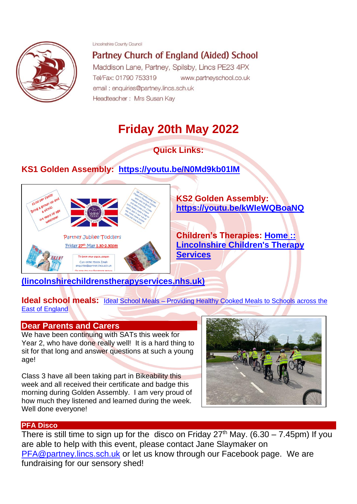Lincolnshire County Council



Partney Church of England (Aided) School

Maddison Lane, Partney, Spilsby, Lincs PE23 4PX Tel/Fax: 01790 753319 www.partneyschool.co.uk email: enquiries@partney.lincs.sch.uk Headteacher: Mrs Susan Kay

# **Friday 20th May 2022**

# **Quick Links:**

# **KS1 Golden Assembly: <https://youtu.be/N0Md9kb01lM>**



**KS2 Golden Assembly: <https://youtu.be/kWIeWQBoaNQ>**

**Children's Therapies: [Home ::](https://www.lincolnshirechildrenstherapyservices.nhs.uk/?msclkid=be2a0f81c78b11ec8d496d114fcf4740)  [Lincolnshire Children's Therapy](https://www.lincolnshirechildrenstherapyservices.nhs.uk/?msclkid=be2a0f81c78b11ec8d496d114fcf4740)  [Services](https://www.lincolnshirechildrenstherapyservices.nhs.uk/?msclkid=be2a0f81c78b11ec8d496d114fcf4740)** 

# **[\(lincolnshirechildrenstherapyservices.nhs.uk\)](https://www.lincolnshirechildrenstherapyservices.nhs.uk/?msclkid=be2a0f81c78b11ec8d496d114fcf4740)**

**Ideal school meals:** Ideal School Meals – Providing Healthy Cooked Meals to Schools across the [East of England](http://www.idealschoolmeals.co.uk/?ideal)

### **Dear Parents and Carers**

We have been continuing with SATs this week for Year 2, who have done really well! It is a hard thing to sit for that long and answer questions at such a young age!

Class 3 have all been taking part in Bikeability this week and all received their certificate and badge this morning during Golden Assembly. I am very proud of how much they listened and learned during the week. Well done everyone!



### **PFA Disco**

There is still time to sign up for the disco on Friday  $27<sup>th</sup>$  May. (6.30 – 7.45pm) If you are able to help with this event, please contact Jane Slaymaker on [PFA@partney.lincs.sch.uk](mailto:PFA@partney.lincs.sch.uk) or let us know through our Facebook page. We are fundraising for our sensory shed!